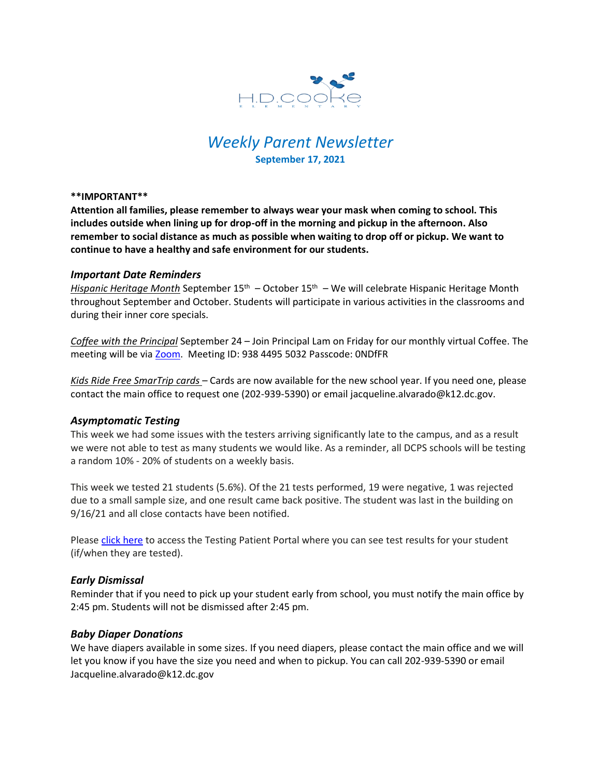

# *Weekly Parent Newsletter* **September 17, 2021**

#### **\*\*IMPORTANT\*\***

**Attention all families, please remember to always wear your mask when coming to school. This includes outside when lining up for drop-off in the morning and pickup in the afternoon. Also remember to social distance as much as possible when waiting to drop off or pickup. We want to continue to have a healthy and safe environment for our students.** 

### *Important Date Reminders*

Hispanic Heritage Month September 15<sup>th</sup> – October 15<sup>th</sup> – We will celebrate Hispanic Heritage Month throughout September and October. Students will participate in various activities in the classrooms and during their inner core specials.

*Coffee with the Principal* September 24 – Join Principal Lam on Friday for our monthly virtual Coffee. The meeting will be via [Zoom.](https://us06web.zoom.us/j/93844955032?pwd=MUtGUmZ3U2N0WjFXNm9scFpmbEVRZz09) Meeting ID: 938 4495 5032 Passcode: 0NDfFR

*Kids Ride Free SmarTrip cards* – Cards are now available for the new school year. If you need one, please contact the main office to request one (202-939-5390) or email jacqueline.alvarado@k12.dc.gov.

### *Asymptomatic Testing*

This week we had some issues with the testers arriving significantly late to the campus, and as a result we were not able to test as many students we would like. As a reminder, all DCPS schools will be testing a random 10% - 20% of students on a weekly basis.

This week we tested 21 students (5.6%). Of the 21 tests performed, 19 were negative, 1 was rejected due to a small sample size, and one result came back positive. The student was last in the building on 9/16/21 and all close contacts have been notified.

Please click [here](https://shieldt3k12portal.pointnclick.com/login_login.aspx) to access the Testing Patient Portal where you can see test results for your student (if/when they are tested).

### *Early Dismissal*

Reminder that if you need to pick up your student early from school, you must notify the main office by 2:45 pm. Students will not be dismissed after 2:45 pm.

### *Baby Diaper Donations*

We have diapers available in some sizes. If you need diapers, please contact the main office and we will let you know if you have the size you need and when to pickup. You can call 202-939-5390 or email Jacqueline.alvarado@k12.dc.gov